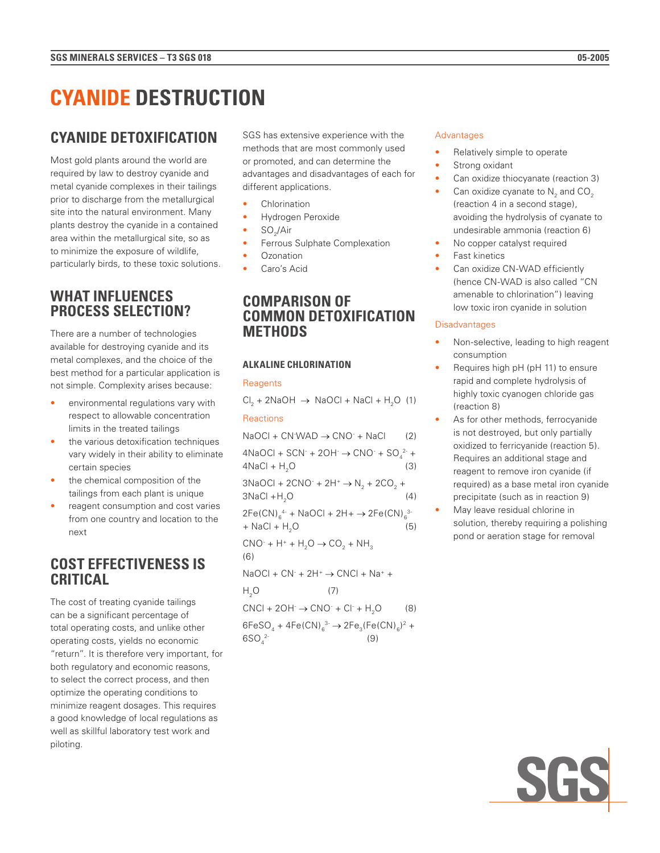# **CYANIDE DETOXIFICATION**

Most gold plants around the world are required by law to destroy cyanide and metal cyanide complexes in their tailings prior to discharge from the metallurgical site into the natural environment. Many plants destroy the cyanide in a contained area within the metallurgical site, so as to minimize the exposure of wildlife, particularly birds, to these toxic solutions.

# **WHAT INFLUENCES PROCESS SELECTION?**

There are a number of technologies available for destroying cyanide and its metal complexes, and the choice of the best method for a particular application is not simple. Complexity arises because:

- environmental regulations vary with respect to allowable concentration limits in the treated tailings
- the various detoxification techniques vary widely in their ability to eliminate certain species
- the chemical composition of the tailings from each plant is unique
- reagent consumption and cost varies from one country and location to the next

# **COST EFFECTIVENESS IS CRITICAL**

The cost of treating cyanide tailings can be a significant percentage of total operating costs, and unlike other operating costs, yields no economic "return". It is therefore very important, for both regulatory and economic reasons, to select the correct process, and then optimize the operating conditions to minimize reagent dosages. This requires a good knowledge of local regulations as well as skillful laboratory test work and piloting.

SGS has extensive experience with the methods that are most commonly used or promoted, and can determine the advantages and disadvantages of each for different applications.

- **Chlorination**
- Hydrogen Peroxide
- SO<sub>2</sub>/Air
- Ferrous Sulphate Complexation
- Ozonation
- Caro's Acid

# **COMPARISON OF COMMON DETOXIFICATION METHODS**

## **ALKALINE CHLORINATION**

## **Reagents**

 $Cl_2 + 2NaOH \rightarrow NaOCl + NaCl + H_2O$  (1) Reactions

 $NaOCl + CN$  WAD  $\rightarrow$  CNO + NaCl (2)  $4NaOCl + SCN + 2OH \rightarrow CNO + SO<sub>4</sub><sup>2-</sup> +$  $4NaCl + H<sub>2</sub>O$  (3)  $3NaOCl + 2CNO^- + 2H^+ \rightarrow N_2 + 2CO_2 +$  $3NaCl + H<sub>2</sub>O$  (4)  $2Fe(CN)_{6}^{4-} + NaOCl + 2H + \rightarrow 2Fe(CN)_{6}^{3-}$  $+$  NaCl + H<sub>2</sub>O (5)  $CNO^- + H^+ + H_2O \rightarrow CO_2 + NH_3$ (6)  $NaOCl + CN^- + 2H^+ \rightarrow CNCl + Na^+ +$  $H<sub>2</sub>O$  (7)  $CNCI + 2OH^- \rightarrow CNO^- + Cl^- + H_2O$  (8)  $6FeSO_4 + 4Fe(CN)_{6}^{3} \rightarrow 2Fe_3(Fe(CN)_{6})^2 +$ 6SO<sub>42</sub>-2- (9)

## Advantages

- Relatively simple to operate
- Strong oxidant
- Can oxidize thiocyanate (reaction 3)
- Can oxidize cyanate to  $\mathsf{N}_2$  and CO<sub>2</sub> (reaction 4 in a second stage), avoiding the hydrolysis of cyanate to undesirable ammonia (reaction 6)
- No copper catalyst required
- Fast kinetics
- Can oxidize CN-WAD efficiently (hence CN-WAD is also called "CN amenable to chlorination") leaving low toxic iron cyanide in solution

## **Disadvantages**

- Non-selective, leading to high reagent consumption
- Requires high pH (pH 11) to ensure rapid and complete hydrolysis of highly toxic cyanogen chloride gas (reaction 8)
- As for other methods, ferrocyanide is not destroyed, but only partially oxidized to ferricyanide (reaction 5). Requires an additional stage and reagent to remove iron cyanide (if required) as a base metal iron cyanide precipitate (such as in reaction 9)
- May leave residual chlorine in solution, thereby requiring a polishing pond or aeration stage for removal

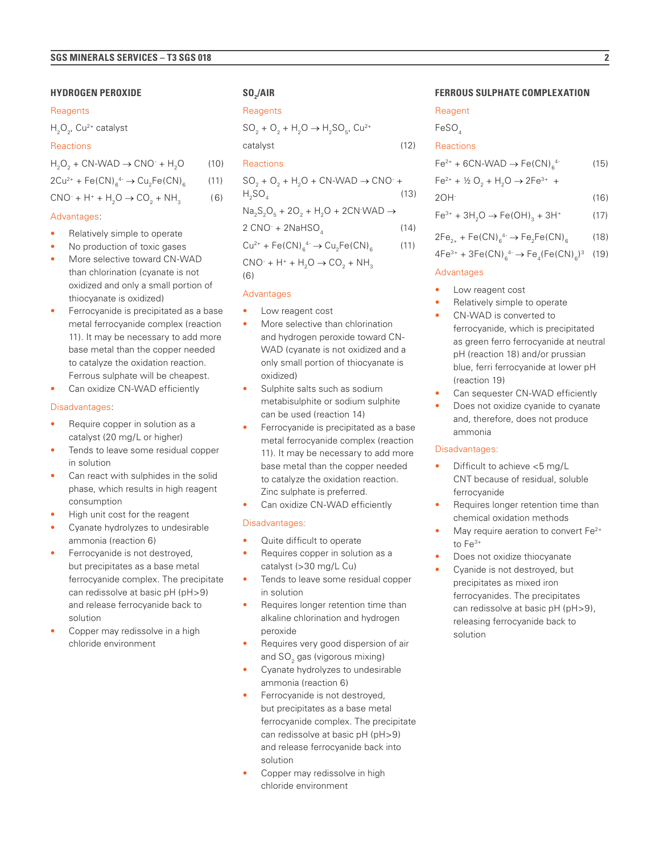### **HYDROGEN PEROXIDE**

#### **Reagents**

 $H_2O_{21}$ , Cu<sup>2+</sup> catalyst

#### **Reactions**

 $H_2O_2 + CN-WAD \rightarrow CNO^- + H_2O$  (10)  $2Cu^{2+} + Fe(CN)_{6}^{4-} \rightarrow Cu_{2}Fe(CN)_{6}$  (11)  $CNO^- + H^+ + H_2O \rightarrow CO_2 + NH_3$  (6)

#### Advantages:

- Relatively simple to operate
- No production of toxic gases
- More selective toward CN-WAD than chlorination (cyanate is not oxidized and only a small portion of thiocyanate is oxidized)
- Ferrocyanide is precipitated as a base metal ferrocyanide complex (reaction 11). It may be necessary to add more base metal than the copper needed to catalyze the oxidation reaction. Ferrous sulphate will be cheapest.
- Can oxidize CN-WAD efficiently

## Disadvantages:

- Require copper in solution as a catalyst (20 mg/L or higher)
- Tends to leave some residual copper in solution
- Can react with sulphides in the solid phase, which results in high reagent consumption
- High unit cost for the reagent
- Cyanate hydrolyzes to undesirable ammonia (reaction 6)
- Ferrocyanide is not destroyed, but precipitates as a base metal ferrocyanide complex. The precipitate can redissolve at basic pH (pH>9) and release ferrocyanide back to solution
- Copper may redissolve in a high chloride environment

## **SO2 /AIR**

## **Reagents**

 $SO_2 + O_2 + H_2O \rightarrow H_2SO_5$ , Cu<sup>2+</sup> catalyst (12)

#### Reactions

| $SO_2 + O_2 + H_2O + CN-WAD \rightarrow CNO^+ +$                                               |      |  |
|------------------------------------------------------------------------------------------------|------|--|
| H <sub>2</sub> SO <sub>4</sub>                                                                 | (13) |  |
| $\text{Na}_2\text{S}_2\text{O}_5$ + 20 <sub>2</sub> + H <sub>2</sub> O + 2CN WAD $\rightarrow$ |      |  |
| 2 CNO <sup>-</sup> + 2NaHSO <sub>4</sub>                                                       | (14) |  |
| $Cu^{2+} + Fe(CN)_{6}^{4-} \rightarrow Cu_{2}Fe(CN)_{6}$                                       | (11) |  |
| $CNO^- + H^+ + H_2O \rightarrow CO_2 + NH_3$                                                   |      |  |

(6)

## Advantages

- Low reagent cost
- More selective than chlorination and hydrogen peroxide toward CN-WAD (cyanate is not oxidized and a only small portion of thiocyanate is oxidized)
- Sulphite salts such as sodium metabisulphite or sodium sulphite can be used (reaction 14)
- Ferrocyanide is precipitated as a base metal ferrocyanide complex (reaction 11). It may be necessary to add more base metal than the copper needed to catalyze the oxidation reaction. Zinc sulphate is preferred.
- Can oxidize CN-WAD efficiently

## Disadvantages:

- Quite difficult to operate
- Requires copper in solution as a catalyst (>30 mg/L Cu)
- Tends to leave some residual copper in solution
- Requires longer retention time than alkaline chlorination and hydrogen peroxide
- Requires very good dispersion of air and SO $_{\rm 2}$  gas (vigorous mixing)
- Cyanate hydrolyzes to undesirable ammonia (reaction 6)
- Ferrocyanide is not destroyed, but precipitates as a base metal ferrocyanide complex. The precipitate can redissolve at basic pH (pH>9) and release ferrocyanide back into solution
- Copper may redissolve in high chloride environment

## **FERROUS SULPHATE COMPLEXATION**

## **Reagent**

FeSO.

#### **Reactions**

|  | $Fe^{2+} + 6CN-WAD \rightarrow Fe(CN)_{6}^{4-}$ |  | (15) |
|--|-------------------------------------------------|--|------|
|--|-------------------------------------------------|--|------|

 $Fe^{2+} + \frac{1}{2}O_2 + H_2O \rightarrow 2Fe^{3+} +$ 

$$
2OH \tag{16}
$$

$$
Fe^{3+} + 3H_2O \to Fe(OH)_3 + 3H^+ \tag{17}
$$

$$
2Fe_{2+} + Fe(CN)_{6}^{4-} \to Fe_{2}Fe(CN)_{6} \tag{18}
$$

$$
4Fe^{3+} + 3Fe(CN)_{6}^{4-} \rightarrow Fe_{4}(Fe(CN)_{6})^{3} (19)
$$

### Advantages

- Low reagent cost
- Relatively simple to operate
- CN-WAD is converted to ferrocyanide, which is precipitated as green ferro ferrocyanide at neutral pH (reaction 18) and/or prussian blue, ferri ferrocyanide at lower pH (reaction 19)
- Can sequester CN-WAD efficiently
- Does not oxidize cyanide to cyanate and, therefore, does not produce ammonia

## Disadvantages:

- Difficult to achieve <5 mg/L CNT because of residual, soluble ferrocyanide
- Requires longer retention time than chemical oxidation methods
- May require aeration to convert Fe<sup>2+</sup> to  $F\Omega^{3+}$
- Does not oxidize thiocyanate
- Cyanide is not destroyed, but precipitates as mixed iron ferrocyanides. The precipitates can redissolve at basic pH (pH>9), releasing ferrocyanide back to solution